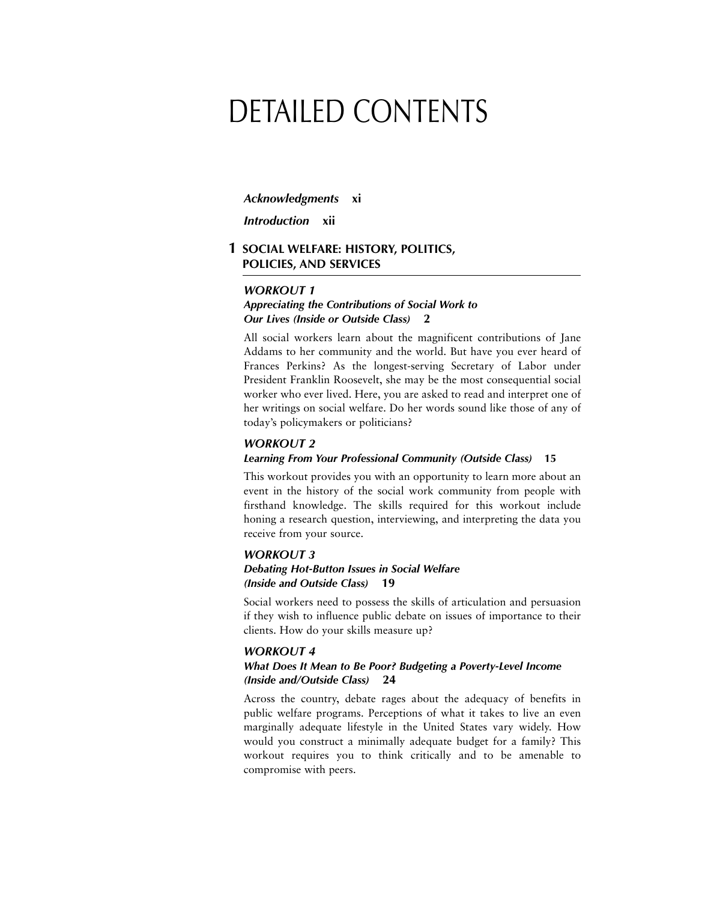# DETAILED CONTENTS

#### *Acknowledgments* **xi**

*Introduction* **xii**

# **1 SOCIAL WELFARE: HISTORY, POLITICS, POLICIES, AND SERVICES**

#### *WORKOUT 1*

# *Appreciating the Contributions of Social Work to Our Lives (Inside or Outside Class)* **2**

All social workers learn about the magnificent contributions of Jane Addams to her community and the world. But have you ever heard of Frances Perkins? As the longest-serving Secretary of Labor under President Franklin Roosevelt, she may be the most consequential social worker who ever lived. Here, you are asked to read and interpret one of her writings on social welfare. Do her words sound like those of any of today's policymakers or politicians?

#### *WORKOUT 2*

# *Learning From Your Professional Community (Outside Class)* **15**

This workout provides you with an opportunity to learn more about an event in the history of the social work community from people with firsthand knowledge. The skills required for this workout include honing a research question, interviewing, and interpreting the data you receive from your source.

#### *WORKOUT 3*

# *Debating Hot-Button Issues in Social Welfare (Inside and Outside Class)* **19**

Social workers need to possess the skills of articulation and persuasion if they wish to influence public debate on issues of importance to their clients. How do your skills measure up?

#### *WORKOUT 4*

#### *What Does It Mean to Be Poor? Budgeting a Poverty-Level Income (Inside and/Outside Class)* **24**

Across the country, debate rages about the adequacy of benefits in public welfare programs. Perceptions of what it takes to live an even marginally adequate lifestyle in the United States vary widely. How would you construct a minimally adequate budget for a family? This workout requires you to think critically and to be amenable to compromise with peers.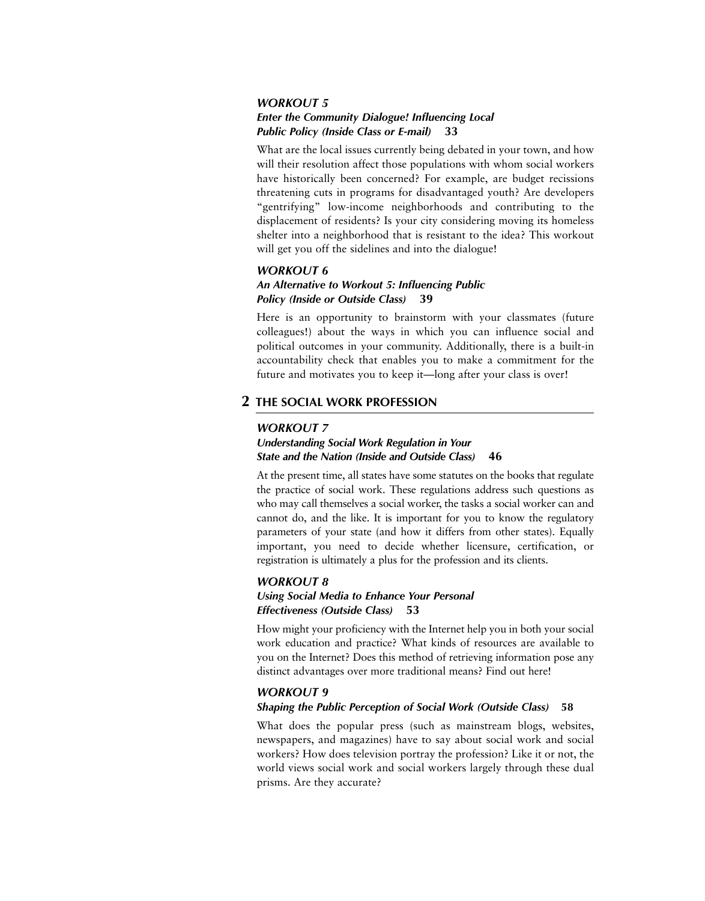#### *WORKOUT 5*

# *Enter the Community Dialogue! Influencing Local Public Policy (Inside Class or E-mail)* **33**

What are the local issues currently being debated in your town, and how will their resolution affect those populations with whom social workers have historically been concerned? For example, are budget recissions threatening cuts in programs for disadvantaged youth? Are developers "gentrifying" low-income neighborhoods and contributing to the displacement of residents? Is your city considering moving its homeless shelter into a neighborhood that is resistant to the idea? This workout will get you off the sidelines and into the dialogue!

#### *WORKOUT 6*

### *An Alternative to Workout 5: Influencing Public Policy (Inside or Outside Class)* **39**

Here is an opportunity to brainstorm with your classmates (future colleagues!) about the ways in which you can influence social and political outcomes in your community. Additionally, there is a built-in accountability check that enables you to make a commitment for the future and motivates you to keep it—long after your class is over!

# **2 THE SOCIAL WORK PROFESSION**

#### *WORKOUT 7*

# *Understanding Social Work Regulation in Your State and the Nation (Inside and Outside Class)* **46**

At the present time, all states have some statutes on the books that regulate the practice of social work. These regulations address such questions as who may call themselves a social worker, the tasks a social worker can and cannot do, and the like. It is important for you to know the regulatory parameters of your state (and how it differs from other states). Equally important, you need to decide whether licensure, certification, or registration is ultimately a plus for the profession and its clients.

# *WORKOUT 8*

# *Using Social Media to Enhance Your Personal Effectiveness (Outside Class)* **53**

How might your proficiency with the Internet help you in both your social work education and practice? What kinds of resources are available to you on the Internet? Does this method of retrieving information pose any distinct advantages over more traditional means? Find out here!

#### *WORKOUT 9*

#### *Shaping the Public Perception of Social Work (Outside Class)* **58**

What does the popular press (such as mainstream blogs, websites, newspapers, and magazines) have to say about social work and social workers? How does television portray the profession? Like it or not, the world views social work and social workers largely through these dual prisms. Are they accurate?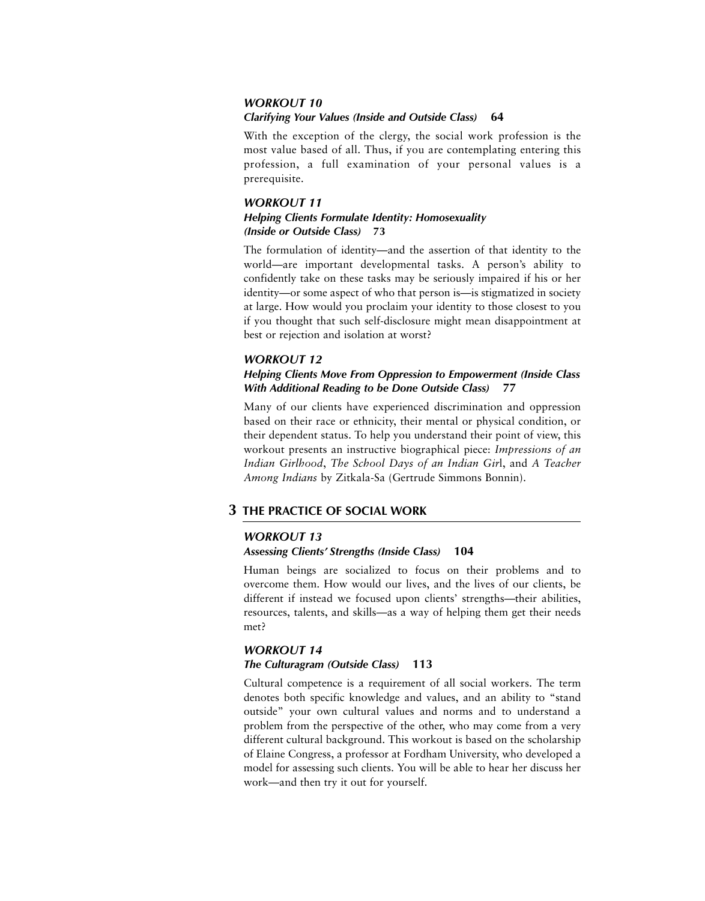# *WORKOUT 10 Clarifying Your Values (Inside and Outside Class)* **64**

With the exception of the clergy, the social work profession is the most value based of all. Thus, if you are contemplating entering this profession, a full examination of your personal values is a prerequisite.

# *WORKOUT 11 Helping Clients Formulate Identity: Homosexuality (Inside or Outside Class)* **73**

The formulation of identity—and the assertion of that identity to the world—are important developmental tasks. A person's ability to confidently take on these tasks may be seriously impaired if his or her identity—or some aspect of who that person is—is stigmatized in society at large. How would you proclaim your identity to those closest to you if you thought that such self-disclosure might mean disappointment at best or rejection and isolation at worst?

# *WORKOUT 12*

# *Helping Clients Move From Oppression to Empowerment (Inside Class With Additional Reading to be Done Outside Class)* **77**

Many of our clients have experienced discrimination and oppression based on their race or ethnicity, their mental or physical condition, or their dependent status. To help you understand their point of view, this workout presents an instructive biographical piece: *Impressions of an Indian Girlhood*, *The School Days of an Indian Gir*l, and *A Teacher Among Indians* by Zitkala-Sa (Gertrude Simmons Bonnin).

# **3 THE PRACTICE OF SOCIAL WORK**

# *WORKOUT 13*

# *Assessing Clients' Strengths (Inside Class)* **104**

Human beings are socialized to focus on their problems and to overcome them. How would our lives, and the lives of our clients, be different if instead we focused upon clients' strengths—their abilities, resources, talents, and skills—as a way of helping them get their needs met?

# *WORKOUT 14*

# *The Culturagram (Outside Class)* **113**

Cultural competence is a requirement of all social workers. The term denotes both specific knowledge and values, and an ability to "stand outside" your own cultural values and norms and to understand a problem from the perspective of the other, who may come from a very different cultural background. This workout is based on the scholarship of Elaine Congress, a professor at Fordham University, who developed a model for assessing such clients. You will be able to hear her discuss her work—and then try it out for yourself.